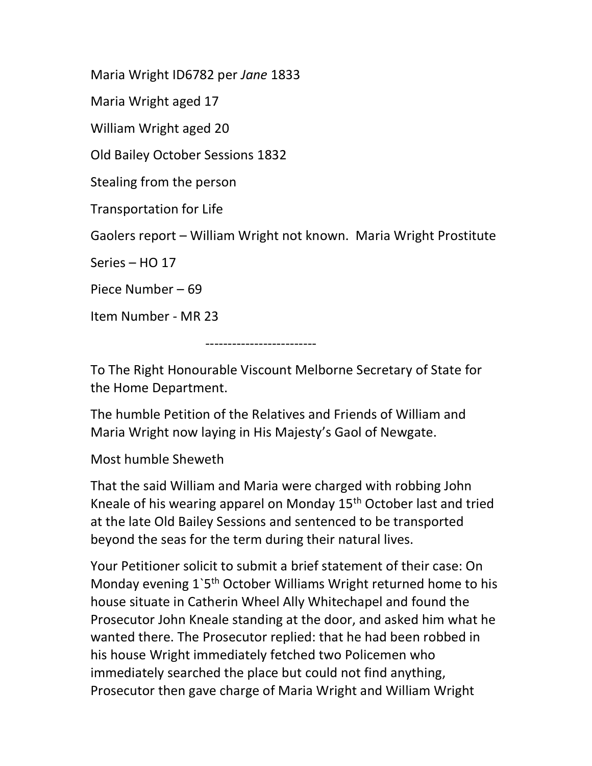Maria Wright ID6782 per Jane 1833

Maria Wright aged 17

William Wright aged 20

Old Bailey October Sessions 1832

Stealing from the person

Transportation for Life

Gaolers report – William Wright not known. Maria Wright Prostitute

Series – HO 17

Piece Number – 69

Item Number - MR 23

-------------------------

To The Right Honourable Viscount Melborne Secretary of State for the Home Department.

The humble Petition of the Relatives and Friends of William and Maria Wright now laying in His Majesty's Gaol of Newgate.

## Most humble Sheweth

That the said William and Maria were charged with robbing John Kneale of his wearing apparel on Monday 15<sup>th</sup> October last and tried at the late Old Bailey Sessions and sentenced to be transported beyond the seas for the term during their natural lives.

Your Petitioner solicit to submit a brief statement of their case: On Monday evening 1'5<sup>th</sup> October Williams Wright returned home to his house situate in Catherin Wheel Ally Whitechapel and found the Prosecutor John Kneale standing at the door, and asked him what he wanted there. The Prosecutor replied: that he had been robbed in his house Wright immediately fetched two Policemen who immediately searched the place but could not find anything, Prosecutor then gave charge of Maria Wright and William Wright